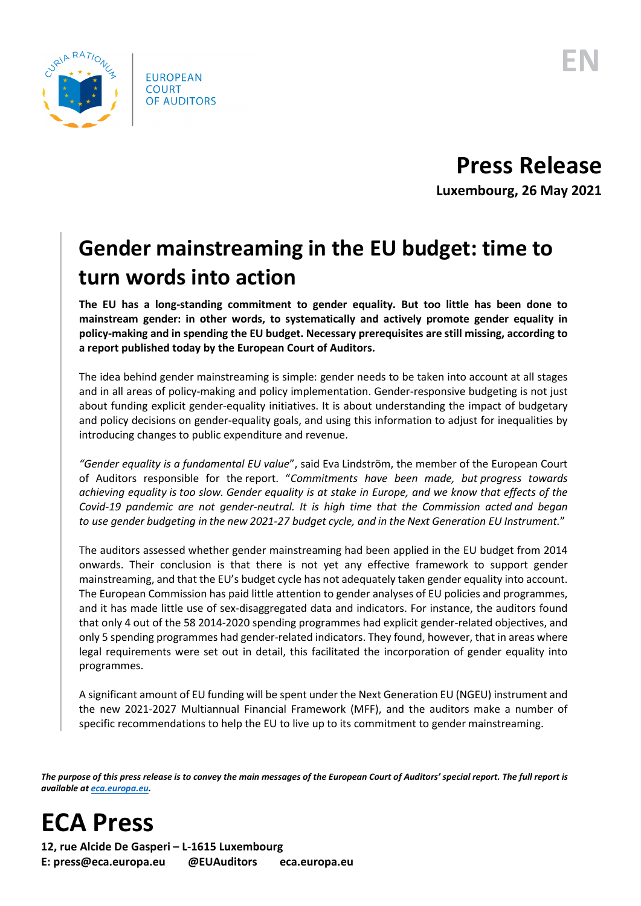

## **Press Release Luxembourg, 26 May 2021**

## **Gender mainstreaming in the EU budget: time to turn words into action**

**The EU has a long-standing commitment to gender equality. But too little has been done to mainstream gender: in other words, to systematically and actively promote gender equality in policy-making and in spending the EU budget. Necessary prerequisites are still missing, according to a report published today by the European Court of Auditors.**

The idea behind gender mainstreaming is simple: gender needs to be taken into account at all stages and in all areas of policy-making and policy implementation. Gender-responsive budgeting is not just about funding explicit gender-equality initiatives. It is about understanding the impact of budgetary and policy decisions on gender-equality goals, and using this information to adjust for inequalities by introducing changes to public expenditure and revenue.

*"Gender equality is a fundamental EU value*", said Eva Lindström, the member of the European Court of Auditors responsible for the report. "*Commitments have been made, but progress towards achieving equality is too slow. Gender equality is at stake in Europe, and we know that effects of the Covid-19 pandemic are not gender-neutral. It is high time that the Commission acted and began to use gender budgeting in the new 2021-27 budget cycle, and in the Next Generation EU Instrument.*"

The auditors assessed whether gender mainstreaming had been applied in the EU budget from 2014 onwards. Their conclusion is that there is not yet any effective framework to support gender mainstreaming, and that the EU's budget cycle has not adequately taken gender equality into account. The European Commission has paid little attention to gender analyses of EU policies and programmes, and it has made little use of sex-disaggregated data and indicators. For instance, the auditors found that only 4 out of the 58 2014-2020 spending programmes had explicit gender-related objectives, and only 5 spending programmes had gender-related indicators. They found, however, that in areas where legal requirements were set out in detail, this facilitated the incorporation of gender equality into programmes.

A significant amount of EU funding will be spent under the Next Generation EU (NGEU) instrument and the new 2021-2027 Multiannual Financial Framework (MFF), and the auditors make a number of specific recommendations to help the EU to live up to its commitment to gender mainstreaming.

*The purpose of this press release is to convey the main messages of the European Court of Auditors' special report. The full report is available a[t eca.europa.eu.](https://www.eca.europa.eu/)*

**ECA Press**

**12, rue Alcide De Gasperi – L-1615 Luxembourg E: press@eca.europa.eu @EUAuditors eca.europa.eu**